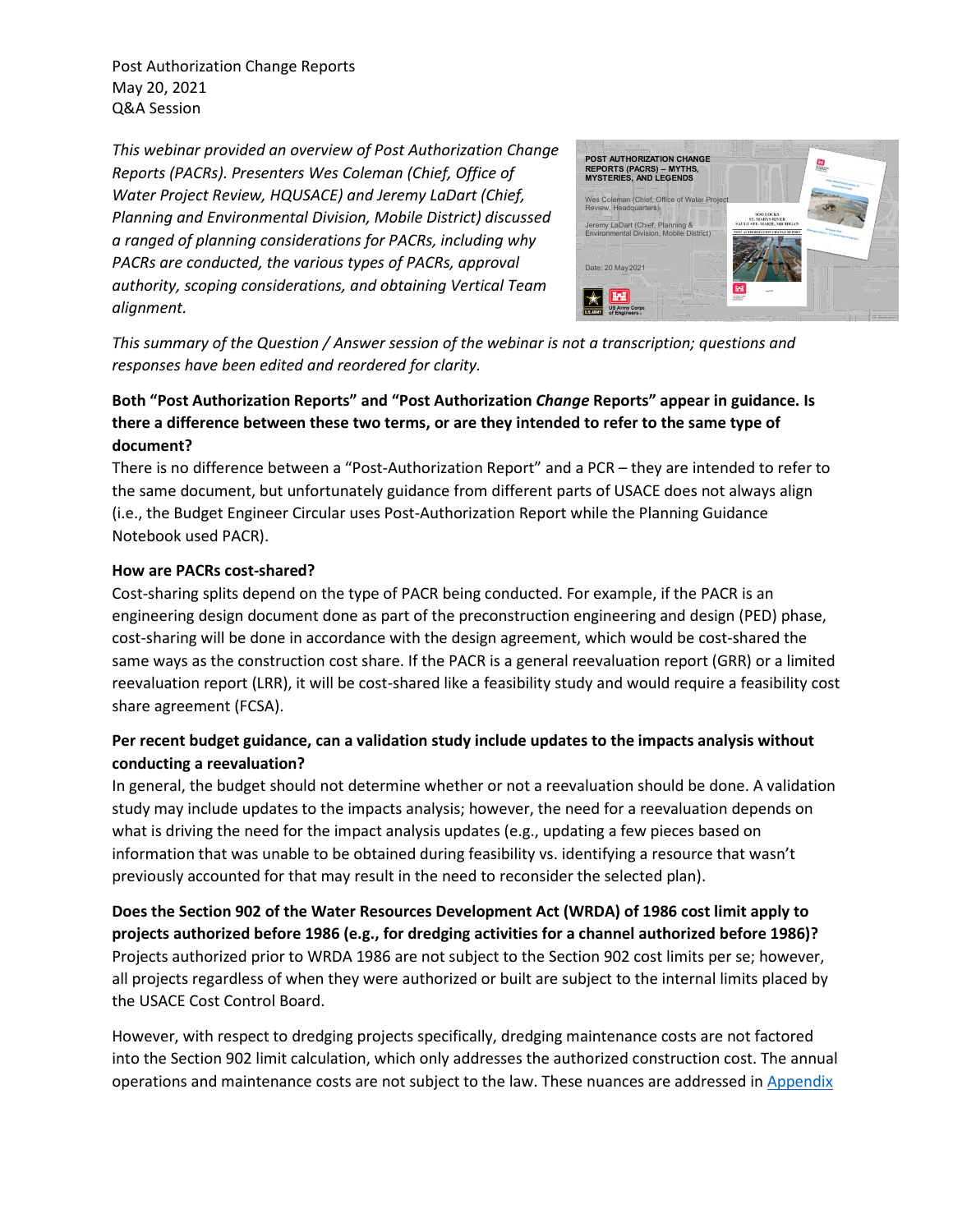Post Authorization Change Reports May 20, 2021 Q&A Session

*This webinar provided an overview of Post Authorization Change Reports (PACRs). Presenters Wes Coleman (Chief, Office of Water Project Review, HQUSACE) and Jeremy LaDart (Chief, Planning and Environmental Division, Mobile District) discussed a ranged of planning considerations for PACRs, including why PACRs are conducted, the various types of PACRs, approval authority, scoping considerations, and obtaining Vertical Team alignment.*



*This summary of the Question / Answer session of the webinar is not a transcription; questions and responses have been edited and reordered for clarity.* 

# **Both "Post Authorization Reports" and "Post Authorization** *Change* **Reports" appear in guidance. Is there a difference between these two terms, or are they intended to refer to the same type of document?**

There is no difference between a "Post-Authorization Report" and a PCR – they are intended to refer to the same document, but unfortunately guidance from different parts of USACE does not always align (i.e., the Budget Engineer Circular uses Post-Authorization Report while the Planning Guidance Notebook used PACR).

#### **How are PACRs cost-shared?**

Cost-sharing splits depend on the type of PACR being conducted. For example, if the PACR is an engineering design document done as part of the preconstruction engineering and design (PED) phase, cost-sharing will be done in accordance with the design agreement, which would be cost-shared the same ways as the construction cost share. If the PACR is a general reevaluation report (GRR) or a limited reevaluation report (LRR), it will be cost-shared like a feasibility study and would require a feasibility cost share agreement (FCSA).

## **Per recent budget guidance, can a validation study include updates to the impacts analysis without conducting a reevaluation?**

In general, the budget should not determine whether or not a reevaluation should be done. A validation study may include updates to the impacts analysis; however, the need for a reevaluation depends on what is driving the need for the impact analysis updates (e.g., updating a few pieces based on information that was unable to be obtained during feasibility vs. identifying a resource that wasn't previously accounted for that may result in the need to reconsider the selected plan).

**Does the Section 902 of the Water Resources Development Act (WRDA) of 1986 cost limit apply to projects authorized before 1986 (e.g., for dredging activities for a channel authorized before 1986)?** Projects authorized prior to WRDA 1986 are not subject to the Section 902 cost limits per se; however, all projects regardless of when they were authorized or built are subject to the internal limits placed by the USACE Cost Control Board.

However, with respect to dredging projects specifically, dredging maintenance costs are not factored into the Section 902 limit calculation, which only addresses the authorized construction cost. The annual operations and maintenance costs are not subject to the law. These nuances are addressed in Appendix